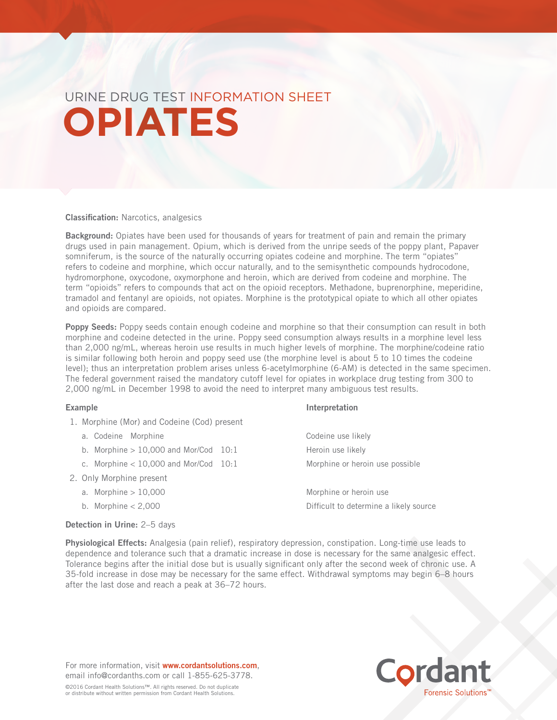# URINE DRUG TEST INFORMATION SHEET **OPIATES**

Classification: Narcotics, analgesics

Background: Opiates have been used for thousands of years for treatment of pain and remain the primary drugs used in pain management. Opium, which is derived from the unripe seeds of the poppy plant, Papaver somniferum, is the source of the naturally occurring opiates codeine and morphine. The term "opiates" refers to codeine and morphine, which occur naturally, and to the semisynthetic compounds hydrocodone, hydromorphone, oxycodone, oxymorphone and heroin, which are derived from codeine and morphine. The term "opioids" refers to compounds that act on the opioid receptors. Methadone, buprenorphine, meperidine, tramadol and fentanyl are opioids, not opiates. Morphine is the prototypical opiate to which all other opiates and opioids are compared.

Poppy Seeds: Poppy seeds contain enough codeine and morphine so that their consumption can result in both morphine and codeine detected in the urine. Poppy seed consumption always results in a morphine level less than 2,000 ng/mL, whereas heroin use results in much higher levels of morphine. The morphine/codeine ratio is similar following both heroin and poppy seed use (the morphine level is about 5 to 10 times the codeine level); thus an interpretation problem arises unless 6-acetylmorphine (6-AM) is detected in the same specimen. The federal government raised the mandatory cutoff level for opiates in workplace drug testing from 300 to 2,000 ng/mL in December 1998 to avoid the need to interpret many ambiguous test results.

Example **Interpretation** 

| 1. Morphine (Mor) and Codeine (Cod) present |  |                                        |
|---------------------------------------------|--|----------------------------------------|
| a. Codeine Morphine                         |  | Codeine use likely                     |
| b. Morphine $> 10,000$ and Mor/Cod 10:1     |  | Heroin use likely                      |
| c. Morphine $<$ 10,000 and Mor/Cod 10:1     |  | Morphine or heroin use possible        |
| 2. Only Morphine present                    |  |                                        |
| a. Morphine $> 10,000$                      |  | Morphine or heroin use                 |
| b. Morphine $< 2,000$                       |  | Difficult to determine a likely source |
|                                             |  |                                        |

# Detection in Urine: 2–5 days

Physiological Effects: Analgesia (pain relief), respiratory depression, constipation. Long-time use leads to dependence and tolerance such that a dramatic increase in dose is necessary for the same analgesic effect. Tolerance begins after the initial dose but is usually significant only after the second week of chronic use. A 35-fold increase in dose may be necessary for the same effect. Withdrawal symptoms may begin 6–8 hours after the last dose and reach a peak at 36–72 hours.

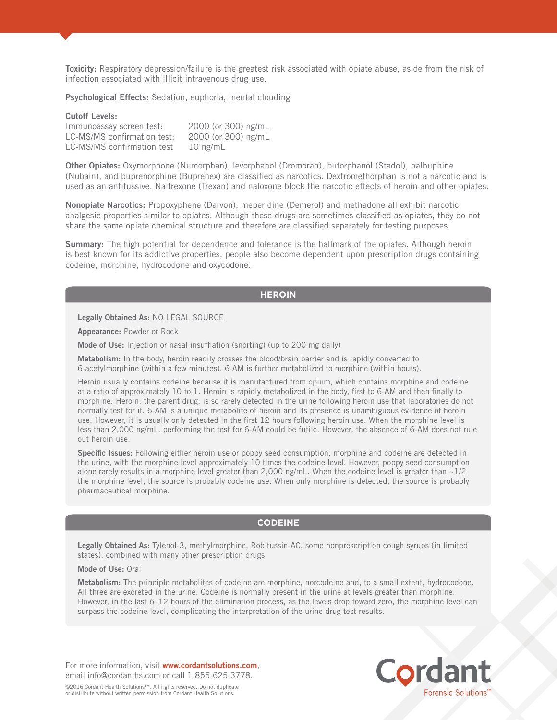Toxicity: Respiratory depression/failure is the greatest risk associated with opiate abuse, aside from the risk of infection associated with illicit intravenous drug use.

Psychological Effects: Sedation, euphoria, mental clouding

#### Cutoff Levels:

| Immunoassay screen test:    | 2000 (or 300) ng/mL |
|-----------------------------|---------------------|
| LC-MS/MS confirmation test: | 2000 (or 300) ng/mL |
| LC-MS/MS confirmation test  | $10$ ng/mL          |

Other Opiates: Oxymorphone (Numorphan), levorphanol (Dromoran), butorphanol (Stadol), nalbuphine (Nubain), and buprenorphine (Buprenex) are classified as narcotics. Dextromethorphan is not a narcotic and is used as an antitussive. Naltrexone (Trexan) and naloxone block the narcotic effects of heroin and other opiates.

Nonopiate Narcotics: Propoxyphene (Darvon), meperidine (Demerol) and methadone all exhibit narcotic analgesic properties similar to opiates. Although these drugs are sometimes classified as opiates, they do not share the same opiate chemical structure and therefore are classified separately for testing purposes.

Summary: The high potential for dependence and tolerance is the hallmark of the opiates. Although heroin is best known for its addictive properties, people also become dependent upon prescription drugs containing codeine, morphine, hydrocodone and oxycodone.

# **HEROIN**

Legally Obtained As: NO LEGAL SOURCE

Appearance: Powder or Rock

Mode of Use: Injection or nasal insufflation (snorting) (up to 200 mg daily)

Metabolism: In the body, heroin readily crosses the blood/brain barrier and is rapidly converted to 6-acetylmorphine (within a few minutes). 6-AM is further metabolized to morphine (within hours).

Heroin usually contains codeine because it is manufactured from opium, which contains morphine and codeine at a ratio of approximately 10 to 1. Heroin is rapidly metabolized in the body, first to 6-AM and then finally to morphine. Heroin, the parent drug, is so rarely detected in the urine following heroin use that laboratories do not normally test for it. 6-AM is a unique metabolite of heroin and its presence is unambiguous evidence of heroin use. However, it is usually only detected in the first 12 hours following heroin use. When the morphine level is less than 2,000 ng/mL, performing the test for 6-AM could be futile. However, the absence of 6-AM does not rule out heroin use.

Specific Issues: Following either heroin use or poppy seed consumption, morphine and codeine are detected in the urine, with the morphine level approximately 10 times the codeine level. However, poppy seed consumption alone rarely results in a morphine level greater than 2,000 ng/mL. When the codeine level is greater than  $\sim$ 1/2 the morphine level, the source is probably codeine use. When only morphine is detected, the source is probably pharmaceutical morphine.

# **CODEINE**

Legally Obtained As: Tylenol-3, methylmorphine, Robitussin-AC, some nonprescription cough syrups (in limited states), combined with many other prescription drugs

### Mode of Use: Oral

Metabolism: The principle metabolites of codeine are morphine, norcodeine and, to a small extent, hydrocodone. All three are excreted in the urine. Codeine is normally present in the urine at levels greater than morphine. However, in the last 6–12 hours of the elimination process, as the levels drop toward zero, the morphine level can surpass the codeine level, complicating the interpretation of the urine drug test results.

For more information, visit www.cordantsolutions.com, email info@cordanths.com or call 1-855-625-3778.